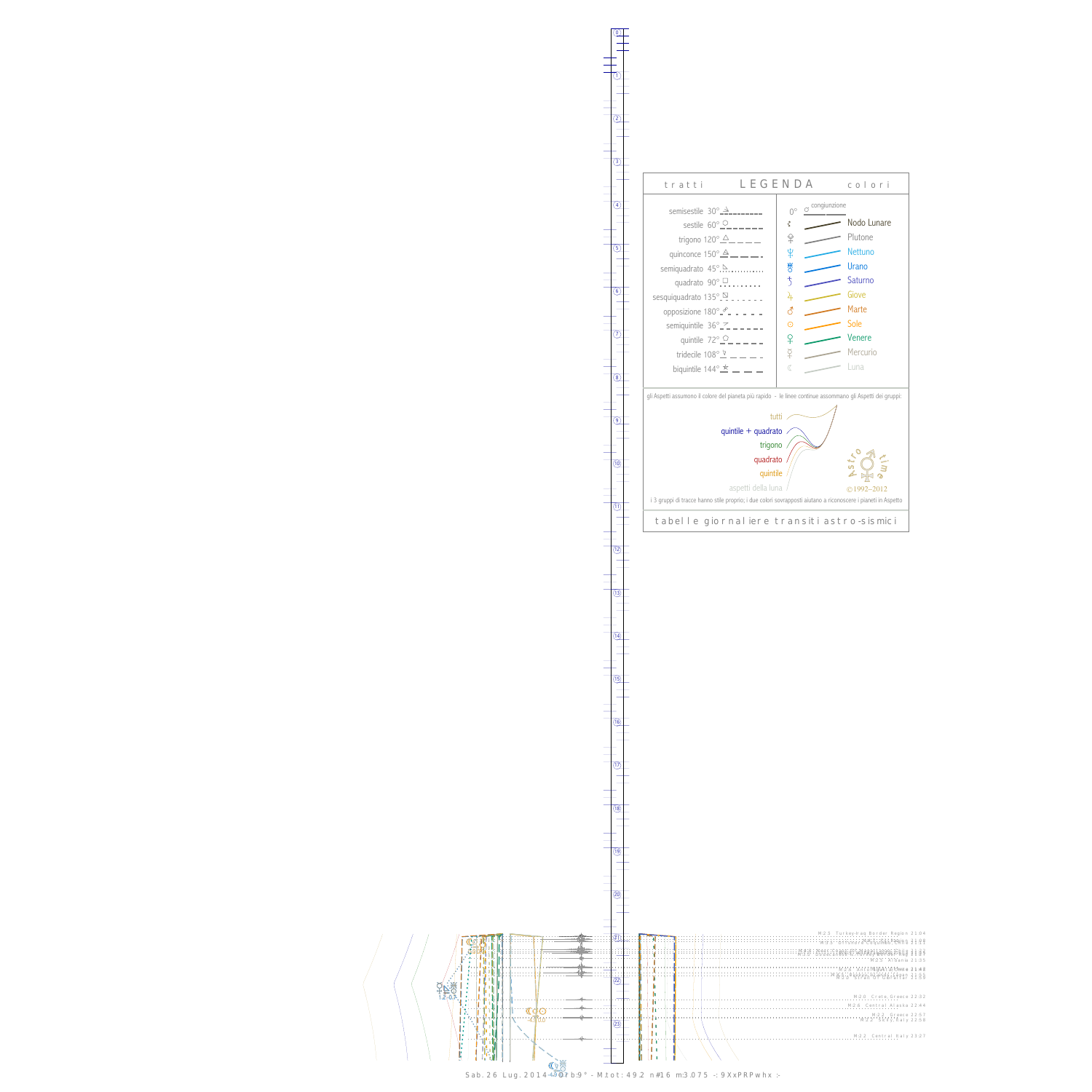